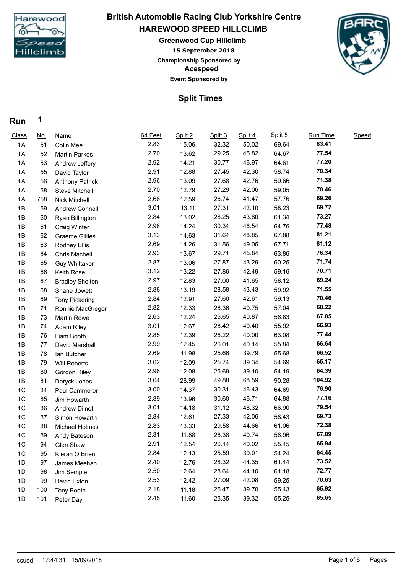

## **15 September 2018 HAREWOOD SPEED HILLCLIMB Greenwood Cup Hillclimb British Automobile Racing Club Yorkshire Centre**

## **Acespeed Event Sponsored by**

**Championship Sponsored by**

## **Split Times**

## **Run 1**

| 83.41<br>2.83<br>32.32<br>50.02<br>15.06<br>69.64<br>1A<br>51<br>Colin Mee<br>77.54<br>2.70<br>13.62<br>29.25<br>45.82<br>64.67<br>1A<br>52<br><b>Martin Parkes</b><br>77.20<br>2.92<br>64.61<br>14.21<br>30.77<br>46.97<br>1A<br>53<br>Andrew Jeffery<br>70.34<br>2.91<br>12.88<br>42.30<br>58.74<br>27.45<br>1A<br>55<br>David Taylor<br>71.38<br>2.96<br>42.76<br>59.66<br>13.09<br>27.68<br>1A<br>56<br><b>Anthony Patrick</b><br>70.46<br>2.70<br>12.79<br>27.29<br>42.06<br>58<br>59.05<br>1A<br><b>Steve Mitchell</b><br>69.26<br>2.66<br>57.76<br>12.59<br>26.74<br>41.47<br>1A<br>758<br>Nick Mitchell<br>69.72<br>3.01<br>27.31<br>42.10<br>58.23<br>1B<br>13.11<br>59<br>Andrew Connell<br>73.27<br>2.84<br>61.34<br>28.25<br>43.80<br>13.02<br>1B<br>60<br>Ryan Billington<br>77.48<br>2.98<br>14.24<br>30.34<br>46.54<br>64.76<br>1B<br>61<br><b>Craig Winter</b><br>81.21<br>3.13<br>31.64<br>67.88<br>14.63<br>48.85<br>1B<br>62<br><b>Graeme Gillies</b><br>81.12<br>2.69<br>14.26<br>31.56<br>49.05<br>67.71<br>1B<br>63<br>Rodney Ellis<br>76.34<br>2.93<br>13.67<br>29.71<br>45.84<br>63.86<br>1B<br>64<br><b>Chris Machell</b><br>71.74<br>2.87<br>27.87<br>43.29<br>13.06<br>60.25<br>1B<br>65<br><b>Guy Whittaker</b><br>70.71<br>3.12<br>13.22<br>27.86<br>42.49<br>59.16<br>1B<br>66<br>Keith Rose<br>69.24<br>2.97<br>12.83<br>27.00<br>41.65<br>58.12<br>1B<br>67<br><b>Bradley Shelton</b><br>71.55<br>2.88<br>59.92<br>13.19<br>28.58<br>43.43<br>1B<br>68<br>Shane Jowett<br>70.46<br>2.84<br>27.60<br>42.61<br>59.13<br>12.91<br>1B<br>69<br><b>Tony Pickering</b><br>68.22<br>2.82<br>57.04<br>12.33<br>26.36<br>40.75<br>1B<br>71<br>Ronnie MacGregor<br>67.85<br>2.63<br>12.24<br>26.65<br>40.87<br>56.83<br>1B<br>73<br><b>Martin Rowe</b><br>66.93<br>3.01<br>12.67<br>26.42<br>40.40<br>55.92<br>1B<br>74<br>Adam Riley<br>77.44<br>2.85<br>12.39<br>26.22<br>40.00<br>63.08<br>1B<br>76<br>Liam Booth<br>66.64<br>2.99<br>26.01<br>40.14<br>55.84<br>12.45<br>1B<br>77<br>David Marshall<br>66.52<br>2.69<br>25.66<br>39.79<br>55.68<br>11.98<br>1B<br>78<br>lan Butcher<br>65.17<br>3.02<br>25.74<br>39.34<br>54.69<br>12.09<br>1B<br>79<br><b>Will Roberts</b> |  |
|-------------------------------------------------------------------------------------------------------------------------------------------------------------------------------------------------------------------------------------------------------------------------------------------------------------------------------------------------------------------------------------------------------------------------------------------------------------------------------------------------------------------------------------------------------------------------------------------------------------------------------------------------------------------------------------------------------------------------------------------------------------------------------------------------------------------------------------------------------------------------------------------------------------------------------------------------------------------------------------------------------------------------------------------------------------------------------------------------------------------------------------------------------------------------------------------------------------------------------------------------------------------------------------------------------------------------------------------------------------------------------------------------------------------------------------------------------------------------------------------------------------------------------------------------------------------------------------------------------------------------------------------------------------------------------------------------------------------------------------------------------------------------------------------------------------------------------------------------------------------------------------------------------------------------------------------------------------------------------------------------------------------------------------------------------------------------------------------------------------------------------------------------------------------------------------------------------|--|
|                                                                                                                                                                                                                                                                                                                                                                                                                                                                                                                                                                                                                                                                                                                                                                                                                                                                                                                                                                                                                                                                                                                                                                                                                                                                                                                                                                                                                                                                                                                                                                                                                                                                                                                                                                                                                                                                                                                                                                                                                                                                                                                                                                                                       |  |
|                                                                                                                                                                                                                                                                                                                                                                                                                                                                                                                                                                                                                                                                                                                                                                                                                                                                                                                                                                                                                                                                                                                                                                                                                                                                                                                                                                                                                                                                                                                                                                                                                                                                                                                                                                                                                                                                                                                                                                                                                                                                                                                                                                                                       |  |
|                                                                                                                                                                                                                                                                                                                                                                                                                                                                                                                                                                                                                                                                                                                                                                                                                                                                                                                                                                                                                                                                                                                                                                                                                                                                                                                                                                                                                                                                                                                                                                                                                                                                                                                                                                                                                                                                                                                                                                                                                                                                                                                                                                                                       |  |
|                                                                                                                                                                                                                                                                                                                                                                                                                                                                                                                                                                                                                                                                                                                                                                                                                                                                                                                                                                                                                                                                                                                                                                                                                                                                                                                                                                                                                                                                                                                                                                                                                                                                                                                                                                                                                                                                                                                                                                                                                                                                                                                                                                                                       |  |
|                                                                                                                                                                                                                                                                                                                                                                                                                                                                                                                                                                                                                                                                                                                                                                                                                                                                                                                                                                                                                                                                                                                                                                                                                                                                                                                                                                                                                                                                                                                                                                                                                                                                                                                                                                                                                                                                                                                                                                                                                                                                                                                                                                                                       |  |
|                                                                                                                                                                                                                                                                                                                                                                                                                                                                                                                                                                                                                                                                                                                                                                                                                                                                                                                                                                                                                                                                                                                                                                                                                                                                                                                                                                                                                                                                                                                                                                                                                                                                                                                                                                                                                                                                                                                                                                                                                                                                                                                                                                                                       |  |
|                                                                                                                                                                                                                                                                                                                                                                                                                                                                                                                                                                                                                                                                                                                                                                                                                                                                                                                                                                                                                                                                                                                                                                                                                                                                                                                                                                                                                                                                                                                                                                                                                                                                                                                                                                                                                                                                                                                                                                                                                                                                                                                                                                                                       |  |
|                                                                                                                                                                                                                                                                                                                                                                                                                                                                                                                                                                                                                                                                                                                                                                                                                                                                                                                                                                                                                                                                                                                                                                                                                                                                                                                                                                                                                                                                                                                                                                                                                                                                                                                                                                                                                                                                                                                                                                                                                                                                                                                                                                                                       |  |
|                                                                                                                                                                                                                                                                                                                                                                                                                                                                                                                                                                                                                                                                                                                                                                                                                                                                                                                                                                                                                                                                                                                                                                                                                                                                                                                                                                                                                                                                                                                                                                                                                                                                                                                                                                                                                                                                                                                                                                                                                                                                                                                                                                                                       |  |
|                                                                                                                                                                                                                                                                                                                                                                                                                                                                                                                                                                                                                                                                                                                                                                                                                                                                                                                                                                                                                                                                                                                                                                                                                                                                                                                                                                                                                                                                                                                                                                                                                                                                                                                                                                                                                                                                                                                                                                                                                                                                                                                                                                                                       |  |
|                                                                                                                                                                                                                                                                                                                                                                                                                                                                                                                                                                                                                                                                                                                                                                                                                                                                                                                                                                                                                                                                                                                                                                                                                                                                                                                                                                                                                                                                                                                                                                                                                                                                                                                                                                                                                                                                                                                                                                                                                                                                                                                                                                                                       |  |
|                                                                                                                                                                                                                                                                                                                                                                                                                                                                                                                                                                                                                                                                                                                                                                                                                                                                                                                                                                                                                                                                                                                                                                                                                                                                                                                                                                                                                                                                                                                                                                                                                                                                                                                                                                                                                                                                                                                                                                                                                                                                                                                                                                                                       |  |
|                                                                                                                                                                                                                                                                                                                                                                                                                                                                                                                                                                                                                                                                                                                                                                                                                                                                                                                                                                                                                                                                                                                                                                                                                                                                                                                                                                                                                                                                                                                                                                                                                                                                                                                                                                                                                                                                                                                                                                                                                                                                                                                                                                                                       |  |
|                                                                                                                                                                                                                                                                                                                                                                                                                                                                                                                                                                                                                                                                                                                                                                                                                                                                                                                                                                                                                                                                                                                                                                                                                                                                                                                                                                                                                                                                                                                                                                                                                                                                                                                                                                                                                                                                                                                                                                                                                                                                                                                                                                                                       |  |
|                                                                                                                                                                                                                                                                                                                                                                                                                                                                                                                                                                                                                                                                                                                                                                                                                                                                                                                                                                                                                                                                                                                                                                                                                                                                                                                                                                                                                                                                                                                                                                                                                                                                                                                                                                                                                                                                                                                                                                                                                                                                                                                                                                                                       |  |
|                                                                                                                                                                                                                                                                                                                                                                                                                                                                                                                                                                                                                                                                                                                                                                                                                                                                                                                                                                                                                                                                                                                                                                                                                                                                                                                                                                                                                                                                                                                                                                                                                                                                                                                                                                                                                                                                                                                                                                                                                                                                                                                                                                                                       |  |
|                                                                                                                                                                                                                                                                                                                                                                                                                                                                                                                                                                                                                                                                                                                                                                                                                                                                                                                                                                                                                                                                                                                                                                                                                                                                                                                                                                                                                                                                                                                                                                                                                                                                                                                                                                                                                                                                                                                                                                                                                                                                                                                                                                                                       |  |
|                                                                                                                                                                                                                                                                                                                                                                                                                                                                                                                                                                                                                                                                                                                                                                                                                                                                                                                                                                                                                                                                                                                                                                                                                                                                                                                                                                                                                                                                                                                                                                                                                                                                                                                                                                                                                                                                                                                                                                                                                                                                                                                                                                                                       |  |
|                                                                                                                                                                                                                                                                                                                                                                                                                                                                                                                                                                                                                                                                                                                                                                                                                                                                                                                                                                                                                                                                                                                                                                                                                                                                                                                                                                                                                                                                                                                                                                                                                                                                                                                                                                                                                                                                                                                                                                                                                                                                                                                                                                                                       |  |
|                                                                                                                                                                                                                                                                                                                                                                                                                                                                                                                                                                                                                                                                                                                                                                                                                                                                                                                                                                                                                                                                                                                                                                                                                                                                                                                                                                                                                                                                                                                                                                                                                                                                                                                                                                                                                                                                                                                                                                                                                                                                                                                                                                                                       |  |
|                                                                                                                                                                                                                                                                                                                                                                                                                                                                                                                                                                                                                                                                                                                                                                                                                                                                                                                                                                                                                                                                                                                                                                                                                                                                                                                                                                                                                                                                                                                                                                                                                                                                                                                                                                                                                                                                                                                                                                                                                                                                                                                                                                                                       |  |
|                                                                                                                                                                                                                                                                                                                                                                                                                                                                                                                                                                                                                                                                                                                                                                                                                                                                                                                                                                                                                                                                                                                                                                                                                                                                                                                                                                                                                                                                                                                                                                                                                                                                                                                                                                                                                                                                                                                                                                                                                                                                                                                                                                                                       |  |
|                                                                                                                                                                                                                                                                                                                                                                                                                                                                                                                                                                                                                                                                                                                                                                                                                                                                                                                                                                                                                                                                                                                                                                                                                                                                                                                                                                                                                                                                                                                                                                                                                                                                                                                                                                                                                                                                                                                                                                                                                                                                                                                                                                                                       |  |
|                                                                                                                                                                                                                                                                                                                                                                                                                                                                                                                                                                                                                                                                                                                                                                                                                                                                                                                                                                                                                                                                                                                                                                                                                                                                                                                                                                                                                                                                                                                                                                                                                                                                                                                                                                                                                                                                                                                                                                                                                                                                                                                                                                                                       |  |
|                                                                                                                                                                                                                                                                                                                                                                                                                                                                                                                                                                                                                                                                                                                                                                                                                                                                                                                                                                                                                                                                                                                                                                                                                                                                                                                                                                                                                                                                                                                                                                                                                                                                                                                                                                                                                                                                                                                                                                                                                                                                                                                                                                                                       |  |
| 64.39<br>2.96<br>54.19<br>12.08<br>25.69<br>39.10<br>1B<br>80<br><b>Gordon Riley</b>                                                                                                                                                                                                                                                                                                                                                                                                                                                                                                                                                                                                                                                                                                                                                                                                                                                                                                                                                                                                                                                                                                                                                                                                                                                                                                                                                                                                                                                                                                                                                                                                                                                                                                                                                                                                                                                                                                                                                                                                                                                                                                                  |  |
| 104.92<br>3.04<br>28.99<br>49.88<br>68.59<br>90.28<br>1B<br>81<br>Deryck Jones                                                                                                                                                                                                                                                                                                                                                                                                                                                                                                                                                                                                                                                                                                                                                                                                                                                                                                                                                                                                                                                                                                                                                                                                                                                                                                                                                                                                                                                                                                                                                                                                                                                                                                                                                                                                                                                                                                                                                                                                                                                                                                                        |  |
| 76.90<br>3.00<br>14.37<br>30.31<br>46.43<br>64.69<br>1C<br>84<br>Paul Cammerer                                                                                                                                                                                                                                                                                                                                                                                                                                                                                                                                                                                                                                                                                                                                                                                                                                                                                                                                                                                                                                                                                                                                                                                                                                                                                                                                                                                                                                                                                                                                                                                                                                                                                                                                                                                                                                                                                                                                                                                                                                                                                                                        |  |
| 77.16<br>2.89<br>30.60<br>46.71<br>1C<br>13.96<br>64.88<br>85<br>Jim Howarth                                                                                                                                                                                                                                                                                                                                                                                                                                                                                                                                                                                                                                                                                                                                                                                                                                                                                                                                                                                                                                                                                                                                                                                                                                                                                                                                                                                                                                                                                                                                                                                                                                                                                                                                                                                                                                                                                                                                                                                                                                                                                                                          |  |
| 79.54<br>3.01<br>31.12<br>48.32<br>66.90<br>1C<br>14.18<br>86<br><b>Andrew Dilnot</b>                                                                                                                                                                                                                                                                                                                                                                                                                                                                                                                                                                                                                                                                                                                                                                                                                                                                                                                                                                                                                                                                                                                                                                                                                                                                                                                                                                                                                                                                                                                                                                                                                                                                                                                                                                                                                                                                                                                                                                                                                                                                                                                 |  |
| 69.73<br>27.33<br>42.06<br>1C<br>2.84<br>12.61<br>58.43<br>87<br>Simon Howarth                                                                                                                                                                                                                                                                                                                                                                                                                                                                                                                                                                                                                                                                                                                                                                                                                                                                                                                                                                                                                                                                                                                                                                                                                                                                                                                                                                                                                                                                                                                                                                                                                                                                                                                                                                                                                                                                                                                                                                                                                                                                                                                        |  |
| 72.38<br>2.83<br>29.58<br>44.66<br>61.06<br>1C<br>13.33<br>88<br>Michael Holmes                                                                                                                                                                                                                                                                                                                                                                                                                                                                                                                                                                                                                                                                                                                                                                                                                                                                                                                                                                                                                                                                                                                                                                                                                                                                                                                                                                                                                                                                                                                                                                                                                                                                                                                                                                                                                                                                                                                                                                                                                                                                                                                       |  |
| 67.89<br>2.31<br>26.38<br>40.74<br>1C<br>89<br>11.88<br>56.96<br>Andy Bateson                                                                                                                                                                                                                                                                                                                                                                                                                                                                                                                                                                                                                                                                                                                                                                                                                                                                                                                                                                                                                                                                                                                                                                                                                                                                                                                                                                                                                                                                                                                                                                                                                                                                                                                                                                                                                                                                                                                                                                                                                                                                                                                         |  |
| 65.94<br>2.91<br>26.14<br>40.02<br>55.45<br>1C<br>12.54<br>Glen Shaw<br>94                                                                                                                                                                                                                                                                                                                                                                                                                                                                                                                                                                                                                                                                                                                                                                                                                                                                                                                                                                                                                                                                                                                                                                                                                                                                                                                                                                                                                                                                                                                                                                                                                                                                                                                                                                                                                                                                                                                                                                                                                                                                                                                            |  |
| 64.45<br>2.84<br>39.01<br>12.13<br>25.59<br>54.24<br>1C<br>95<br>Kieran O Brien                                                                                                                                                                                                                                                                                                                                                                                                                                                                                                                                                                                                                                                                                                                                                                                                                                                                                                                                                                                                                                                                                                                                                                                                                                                                                                                                                                                                                                                                                                                                                                                                                                                                                                                                                                                                                                                                                                                                                                                                                                                                                                                       |  |
| 73.52<br>2.40<br>12.76<br>28.32<br>44.35<br>61.44<br>1D<br>97<br>James Meehan                                                                                                                                                                                                                                                                                                                                                                                                                                                                                                                                                                                                                                                                                                                                                                                                                                                                                                                                                                                                                                                                                                                                                                                                                                                                                                                                                                                                                                                                                                                                                                                                                                                                                                                                                                                                                                                                                                                                                                                                                                                                                                                         |  |
| 72.77<br>2.50<br>12.64<br>28.64<br>44.10<br>61.18<br>1D<br>98<br>Jim Semple                                                                                                                                                                                                                                                                                                                                                                                                                                                                                                                                                                                                                                                                                                                                                                                                                                                                                                                                                                                                                                                                                                                                                                                                                                                                                                                                                                                                                                                                                                                                                                                                                                                                                                                                                                                                                                                                                                                                                                                                                                                                                                                           |  |
| 70.63<br>2.53<br>27.09<br>42.08<br>12.42<br>59.25<br>1D<br>99<br>David Exton                                                                                                                                                                                                                                                                                                                                                                                                                                                                                                                                                                                                                                                                                                                                                                                                                                                                                                                                                                                                                                                                                                                                                                                                                                                                                                                                                                                                                                                                                                                                                                                                                                                                                                                                                                                                                                                                                                                                                                                                                                                                                                                          |  |
| 65.92<br>2.18<br>55.43<br>11.18<br>25.47<br>39.70<br>1D<br>100<br><b>Tony Booth</b>                                                                                                                                                                                                                                                                                                                                                                                                                                                                                                                                                                                                                                                                                                                                                                                                                                                                                                                                                                                                                                                                                                                                                                                                                                                                                                                                                                                                                                                                                                                                                                                                                                                                                                                                                                                                                                                                                                                                                                                                                                                                                                                   |  |
| 65.65<br>25.35<br>39.32<br>2.45<br>11.60<br>55.25<br>1D<br>101<br>Peter Day                                                                                                                                                                                                                                                                                                                                                                                                                                                                                                                                                                                                                                                                                                                                                                                                                                                                                                                                                                                                                                                                                                                                                                                                                                                                                                                                                                                                                                                                                                                                                                                                                                                                                                                                                                                                                                                                                                                                                                                                                                                                                                                           |  |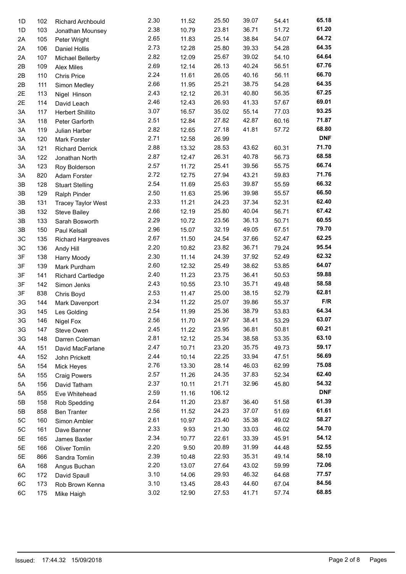| 1D | 102 | <b>Richard Archbould</b>  | 2.30 | 11.52 | 25.50  | 39.07 | 54.41 | 65.18      |
|----|-----|---------------------------|------|-------|--------|-------|-------|------------|
| 1D | 103 | Jonathan Mounsey          | 2.38 | 10.79 | 23.81  | 36.71 | 51.72 | 61.20      |
| 2A | 105 | Peter Wright              | 2.65 | 11.83 | 25.14  | 38.84 | 54.07 | 64.72      |
| 2A | 106 | <b>Daniel Hollis</b>      | 2.73 | 12.28 | 25.80  | 39.33 | 54.28 | 64.35      |
| 2A | 107 | Michael Bellerby          | 2.82 | 12.09 | 25.67  | 39.02 | 54.10 | 64.64      |
| 2B | 109 | <b>Alex Miles</b>         | 2.69 | 12.14 | 26.13  | 40.24 | 56.51 | 67.76      |
| 2B | 110 | <b>Chris Price</b>        | 2.24 | 11.61 | 26.05  | 40.16 | 56.11 | 66.70      |
| 2B | 111 | Simon Medley              | 2.66 | 11.95 | 25.21  | 38.75 | 54.28 | 64.35      |
| 2E | 113 | Nigel Hinson              | 2.43 | 12.12 | 26.31  | 40.80 | 56.35 | 67.25      |
| 2E | 114 | David Leach               | 2.46 | 12.43 | 26.93  | 41.33 | 57.67 | 69.01      |
| 3A | 117 | Herbert Shillito          | 3.07 | 16.57 | 35.02  | 55.14 | 77.03 | 93.25      |
| 3A | 118 | Peter Garforth            | 2.51 | 12.84 | 27.82  | 42.87 | 60.16 | 71.87      |
| 3A | 119 | Julian Harber             | 2.82 | 12.65 | 27.18  | 41.81 | 57.72 | 68.80      |
| 3A | 120 | Mark Forster              | 2.71 | 12.58 | 26.99  |       |       | <b>DNF</b> |
| 3A | 121 |                           | 2.88 | 13.32 | 28.53  | 43.62 | 60.31 | 71.70      |
| 3A | 122 | <b>Richard Derrick</b>    | 2.87 | 12.47 | 26.31  | 40.78 | 56.73 | 68.58      |
|    |     | Jonathan North            | 2.57 | 11.72 | 25.41  | 39.56 | 55.75 | 66.74      |
| 3A | 123 | Roy Bolderson             | 2.72 |       | 27.94  |       |       | 71.76      |
| 3A | 820 | Adam Forster              |      | 12.75 |        | 43.21 | 59.83 | 66.32      |
| 3B | 128 | <b>Stuart Stelling</b>    | 2.54 | 11.69 | 25.63  | 39.87 | 55.59 | 66.50      |
| 3B | 129 | Ralph Pinder              | 2.50 | 11.63 | 25.96  | 39.98 | 55.57 |            |
| 3B | 131 | <b>Tracey Taylor West</b> | 2.33 | 11.21 | 24.23  | 37.34 | 52.31 | 62.40      |
| 3B | 132 | <b>Steve Bailey</b>       | 2.66 | 12.19 | 25.80  | 40.04 | 56.71 | 67.42      |
| 3B | 133 | Sarah Bosworth            | 2.29 | 10.72 | 23.56  | 36.13 | 50.71 | 60.55      |
| 3B | 150 | Paul Kelsall              | 2.96 | 15.07 | 32.19  | 49.05 | 67.51 | 79.70      |
| 3C | 135 | <b>Richard Hargreaves</b> | 2.67 | 11.50 | 24.54  | 37.66 | 52.47 | 62.25      |
| 3C | 136 | Andy Hill                 | 2.20 | 10.82 | 23.82  | 36.71 | 79.24 | 95.54      |
| 3F | 138 | Harry Moody               | 2.30 | 11.14 | 24.39  | 37.92 | 52.49 | 62.32      |
| 3F | 139 | Mark Purdham              | 2.60 | 12.32 | 25.49  | 38.62 | 53.85 | 64.07      |
| 3F | 141 | <b>Richard Cartledge</b>  | 2.40 | 11.23 | 23.75  | 36.41 | 50.53 | 59.88      |
| 3F | 142 | Simon Jenks               | 2.43 | 10.55 | 23.10  | 35.71 | 49.48 | 58.58      |
| 3F | 838 | Chris Boyd                | 2.53 | 11.47 | 25.00  | 38.15 | 52.79 | 62.81      |
| 3G | 144 | Mark Davenport            | 2.34 | 11.22 | 25.07  | 39.86 | 55.37 | F/R        |
| 3G | 145 | Les Golding               | 2.54 | 11.99 | 25.36  | 38.79 | 53.83 | 64.34      |
| 3G | 146 | Nigel Fox                 | 2.56 | 11.70 | 24.97  | 38.41 | 53.29 | 63.07      |
| 3G | 147 | Steve Owen                | 2.45 | 11.22 | 23.95  | 36.81 | 50.81 | 60.21      |
| 3G | 148 | Darren Coleman            | 2.81 | 12.12 | 25.34  | 38.58 | 53.35 | 63.10      |
| 4A | 151 | David MacFarlane          | 2.47 | 10.71 | 23.20  | 35.75 | 49.73 | 59.17      |
| 4A | 152 | John Prickett             | 2.44 | 10.14 | 22.25  | 33.94 | 47.51 | 56.69      |
| 5A | 154 | Mick Heyes                | 2.76 | 13.30 | 28.14  | 46.03 | 62.99 | 75.08      |
| 5A | 155 | <b>Craig Powers</b>       | 2.57 | 11.26 | 24.35  | 37.83 | 52.34 | 62.40      |
| 5A | 156 | David Tatham              | 2.37 | 10.11 | 21.71  | 32.96 | 45.80 | 54.32      |
|    |     |                           | 2.59 | 11.16 | 106.12 |       |       | <b>DNF</b> |
| 5A | 855 | Eve Whitehead             | 2.64 |       | 23.87  |       |       | 61.39      |
| 5B | 158 | Rob Spedding              |      | 11.20 |        | 36.40 | 51.58 | 61.61      |
| 5B | 858 | <b>Ben Tranter</b>        | 2.56 | 11.52 | 24.23  | 37.07 | 51.69 |            |
| 5C | 160 | Simon Ambler              | 2.61 | 10.97 | 23.40  | 35.38 | 49.02 | 58.27      |
| 5C | 161 | Dave Banner               | 2.33 | 9.93  | 21.30  | 33.03 | 46.02 | 54.70      |
| 5E | 165 | James Baxter              | 2.34 | 10.77 | 22.61  | 33.39 | 45.91 | 54.12      |
| 5E | 166 | Oliver Tomlin             | 2.20 | 9.50  | 20.89  | 31.99 | 44.48 | 52.55      |
| 5E | 866 | Sandra Tomlin             | 2.39 | 10.48 | 22.93  | 35.31 | 49.14 | 58.10      |
| 6A | 168 | Angus Buchan              | 2.20 | 13.07 | 27.64  | 43.02 | 59.99 | 72.06      |
| 6C | 172 | David Spaull              | 3.10 | 14.06 | 29.93  | 46.32 | 64.68 | 77.57      |
| 6C | 173 | Rob Brown Kenna           | 3.10 | 13.45 | 28.43  | 44.60 | 67.04 | 84.56      |
| 6C | 175 | Mike Haigh                | 3.02 | 12.90 | 27.53  | 41.71 | 57.74 | 68.85      |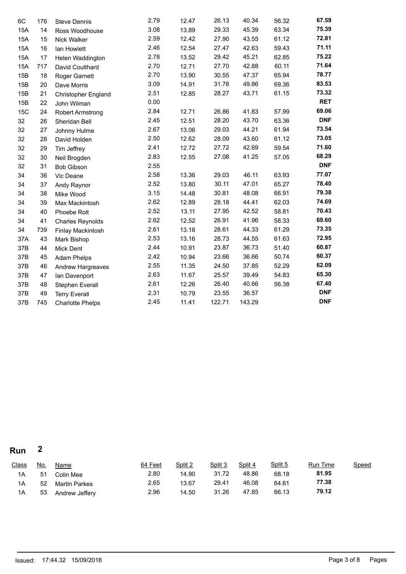| 6C         | 176 | <b>Steve Dennis</b>     | 2.79 | 12.47 | 26.13  | 40.34  | 56.32 | 67.59      |
|------------|-----|-------------------------|------|-------|--------|--------|-------|------------|
| <b>15A</b> | 14  | Ross Woodhouse          | 3.08 | 13.89 | 29.33  | 45.39  | 63.34 | 75.39      |
| 15A        | 15  | Nick Walker             | 2.59 | 12.42 | 27.90  | 43.55  | 61.12 | 72.81      |
| <b>15A</b> | 16  | lan Howlett             | 2.46 | 12.54 | 27.47  | 42.63  | 59.43 | 71.11      |
| 15A        | 17  | Helen Waddington        | 2.78 | 13.52 | 29.42  | 45.21  | 62.85 | 75.22      |
| 15A        | 717 | David Coulthard         | 2.70 | 12.71 | 27.70  | 42.88  | 60.11 | 71.64      |
| 15B        | 18  | Roger Garnett           | 2.70 | 13.90 | 30.55  | 47.37  | 65.94 | 78.77      |
| 15B        | 20  | Dave Morris             | 3.09 | 14.91 | 31.78  | 49.86  | 69.36 | 83.53      |
| 15B        | 21  | Christopher England     | 2.51 | 12.85 | 28.27  | 43.71  | 61.15 | 73.32      |
| 15B        | 22  | John Wilman             | 0.00 |       |        |        |       | <b>RET</b> |
| <b>15C</b> | 24  | <b>Robert Armstrong</b> | 2.84 | 12.71 | 26.86  | 41.83  | 57.99 | 69.06      |
| 32         | 26  | Sheridan Bell           | 2.45 | 12.51 | 28.20  | 43.70  | 63.36 | <b>DNF</b> |
| 32         | 27  | Johnny Hulme            | 2.67 | 13.06 | 29.03  | 44.21  | 61.94 | 73.54      |
| 32         | 28  | David Holden            | 2.50 | 12.62 | 28.09  | 43.60  | 61.12 | 73.05      |
| 32         | 29  | Tim Jeffrey             | 2.41 | 12.72 | 27.72  | 42.69  | 59.54 | 71.60      |
| 32         | 30  | Neil Brogden            | 2.83 | 12.55 | 27.08  | 41.25  | 57.05 | 68.29      |
| 32         | 31  | <b>Bob Gibson</b>       | 2.55 |       |        |        |       | <b>DNF</b> |
| 34         | 36  | Vic Deane               | 2.58 | 13.36 | 29.03  | 46.11  | 63.93 | 77.07      |
| 34         | 37  | Andy Raynor             | 2.52 | 13.80 | 30.11  | 47.01  | 65.27 | 78.40      |
| 34         | 38  | Mike Wood               | 3.15 | 14.48 | 30.81  | 48.08  | 66.91 | 79.38      |
| 34         | 39  | Max Mackintosh          | 2.62 | 12.89 | 28.18  | 44.41  | 62.03 | 74.69      |
| 34         | 40  | Phoebe Rolt             | 2.52 | 13.11 | 27.95  | 42.52  | 58.81 | 70.43      |
| 34         | 41  | <b>Charles Reynolds</b> | 2.62 | 12.52 | 26.91  | 41.96  | 58.33 | 69.60      |
| 34         | 739 | Finlay Mackintosh       | 2.61 | 13.18 | 28.61  | 44.33  | 61.29 | 73.35      |
| 37A        | 43  | Mark Bishop             | 2.53 | 13.16 | 28.73  | 44.55  | 61.63 | 72.95      |
| 37B        | 44  | Mick Dent               | 2.44 | 10.91 | 23.87  | 36.73  | 51.40 | 60.87      |
| 37B        | 45  | <b>Adam Phelps</b>      | 2.42 | 10.94 | 23.66  | 36.66  | 50.74 | 60.37      |
| 37B        | 46  | Andrew Hargreaves       | 2.55 | 11.35 | 24.50  | 37.85  | 52.29 | 62.09      |
| 37B        | 47  | Ian Davenport           | 2.63 | 11.67 | 25.57  | 39.49  | 54.83 | 65.30      |
| 37B        | 48  | Stephen Everall         | 2.61 | 12.26 | 26.40  | 40.66  | 56.38 | 67.40      |
| 37B        | 49  | <b>Terry Everall</b>    | 2.31 | 10.79 | 23.55  | 36.57  |       | <b>DNF</b> |
| 37B        | 745 | <b>Charlotte Phelps</b> | 2.45 | 11.41 | 122.71 | 143.29 |       | <b>DNF</b> |

**Run 2**

| <b>Class</b> | <u>No.</u> | <u>Name</u>          | 64 Feet | Split 2 | Split 3 | Split 4 | Split 5 | <b>Run Time</b> | <b>Speed</b> |
|--------------|------------|----------------------|---------|---------|---------|---------|---------|-----------------|--------------|
| 1A           | 51         | Colin Mee            | 2.80    | 14.90   | 31.72   | 48.86   | 68.18   | 81.95           |              |
| 1A           | 52         | <b>Martin Parkes</b> | 2.65    | 13.67   | 29.41   | 46.08   | 64.61   | 77.38           |              |
| 1A           | 53         | Andrew Jeffery       | 2.96    | 14.50   | 31.26   | 47.85   | 66.13   | 79.12           |              |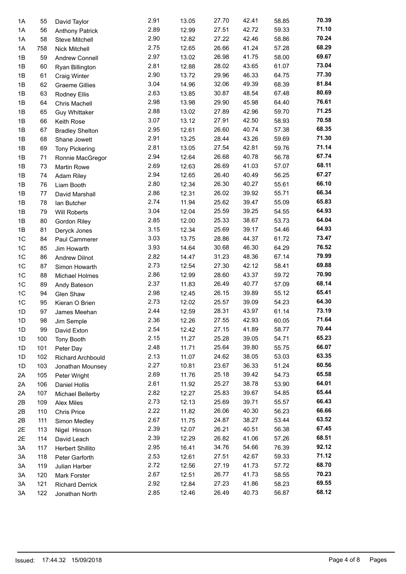| 1A       | 55        | David Taylor             | 2.91         | 13.05          | 27.70          | 42.41          | 58.85          | 70.39 |
|----------|-----------|--------------------------|--------------|----------------|----------------|----------------|----------------|-------|
| 1A       | 56        | <b>Anthony Patrick</b>   | 2.89         | 12.99          | 27.51          | 42.72          | 59.33          | 71.10 |
| 1A       | 58        | Steve Mitchell           | 2.90         | 12.82          | 27.22          | 42.46          | 58.86          | 70.24 |
| 1A       | 758       | Nick Mitchell            | 2.75         | 12.65          | 26.66          | 41.24          | 57.28          | 68.29 |
| 1B       | 59        | Andrew Connell           | 2.97         | 13.02          | 26.98          | 41.75          | 58.00          | 69.67 |
| 1B       | 60        | Ryan Billington          | 2.81         | 12.88          | 28.02          | 43.65          | 61.07          | 73.04 |
| 1B       | 61        | <b>Craig Winter</b>      | 2.90         | 13.72          | 29.96          | 46.33          | 64.75          | 77.30 |
| 1B       | 62        | <b>Graeme Gillies</b>    | 3.04         | 14.96          | 32.06          | 49.39          | 68.39          | 81.84 |
| 1B       | 63        | <b>Rodney Ellis</b>      | 2.63         | 13.85          | 30.87          | 48.54          | 67.48          | 80.69 |
| 1B       | 64        | <b>Chris Machell</b>     | 2.98         | 13.98          | 29.90          | 45.98          | 64.40          | 76.61 |
| 1B       | 65        | <b>Guy Whittaker</b>     | 2.88         | 13.02          | 27.89          | 42.96          | 59.70          | 71.25 |
| 1B       | 66        | Keith Rose               | 3.07         | 13.12          | 27.91          | 42.50          | 58.93          | 70.58 |
| 1B       | 67        | <b>Bradley Shelton</b>   | 2.95         | 12.61          | 26.60          | 40.74          | 57.38          | 68.35 |
| 1B       | 68        | Shane Jowett             | 2.91         | 13.25          | 28.44          | 43.26          | 59.69          | 71.30 |
| 1B       | 69        | <b>Tony Pickering</b>    | 2.81         | 13.05          | 27.54          | 42.81          | 59.76          | 71.14 |
| 1B       | 71        | Ronnie MacGregor         | 2.94         | 12.64          | 26.68          | 40.78          | 56.78          | 67.74 |
| 1B       | 73        | Martin Rowe              | 2.69         | 12.63          | 26.69          | 41.03          | 57.07          | 68.11 |
| 1B       | 74        | Adam Riley               | 2.94         | 12.65          | 26.40          | 40.49          | 56.25          | 67.27 |
| 1B       | 76        | Liam Booth               | 2.80         | 12.34          | 26.30          | 40.27          | 55.61          | 66.10 |
| 1B       | 77        | David Marshall           | 2.86         | 12.31          | 26.02          | 39.92          | 55.71          | 66.34 |
| 1B       | 78        | lan Butcher              | 2.74         | 11.94          | 25.62          | 39.47          | 55.09          | 65.83 |
| 1B       | 79        | <b>Will Roberts</b>      | 3.04         | 12.04          | 25.59          | 39.25          | 54.55          | 64.93 |
| 1B       | 80        | Gordon Riley             | 2.85         | 12.00          | 25.33          | 38.67          | 53.73          | 64.04 |
| 1B       | 81        | Deryck Jones             | 3.15         | 12.34          | 25.69          | 39.17          | 54.46          | 64.93 |
| 1C       | 84        | Paul Cammerer            | 3.03         | 13.75          | 28.86          | 44.37          | 61.72          | 73.47 |
| 1C       | 85        | Jim Howarth              | 3.93         | 14.64          | 30.68          | 46.30          | 64.29          | 76.52 |
| 1C       | 86        | <b>Andrew Dilnot</b>     | 2.82         | 14.47          | 31.23          | 48.36          | 67.14          | 79.99 |
| 1C       | 87        | Simon Howarth            | 2.73         | 12.54          | 27.30          | 42.12          | 58.41          | 69.88 |
| 1C       | 88        | Michael Holmes           | 2.86         | 12.99          | 28.60          | 43.37          | 59.72          | 70.90 |
| 1C       | 89        | Andy Bateson             | 2.37         | 11.83          | 26.49          | 40.77          | 57.09          | 68.14 |
| 1C       | 94        | Glen Shaw                | 2.98         | 12.45          | 26.15          | 39.89          | 55.12          | 65.41 |
| 1C       | 95        | Kieran O Brien           | 2.73         | 12.02          | 25.57          | 39.09          | 54.23          | 64.30 |
| 1D       | 97        | James Meehan             | 2.44         | 12.59          | 28.31          | 43.97          | 61.14          | 73.19 |
| 1D       | 98        |                          | 2.36         | 12.26          | 27.55          | 42.93          | 60.05          | 71.64 |
|          |           | Jim Semple               | 2.54         | 12.42          | 27.15          | 41.89          | 58.77          | 70.44 |
| 1D<br>1D | 99<br>100 | David Exton              | 2.15         | 11.27          | 25.28          | 39.05          | 54.71          | 65.23 |
| 1D       | 101       | <b>Tony Booth</b>        | 2.48         | 11.71          | 25.64          | 39.80          | 55.75          | 66.07 |
|          |           | Peter Day                | 2.13         | 11.07          | 24.62          | 38.05          | 53.03          | 63.35 |
| 1D       | 102       | <b>Richard Archbould</b> | 2.27         | 10.81          | 23.67          | 36.33          | 51.24          | 60.56 |
| 1D       | 103       | Jonathan Mounsey         | 2.69         | 11.76          | 25.18          | 39.42          | 54.73          | 65.58 |
| 2A       | 105       | Peter Wright             | 2.61         | 11.92          | 25.27          | 38.78          | 53.90          | 64.01 |
| 2A       | 106       | Daniel Hollis            | 2.82         | 12.27          | 25.83          | 39.67          | 54.85          | 65.44 |
| 2A       | 107       | Michael Bellerby         | 2.73         | 12.13          | 25.69          | 39.71          | 55.57          | 66.43 |
| 2B       | 109       | Alex Miles               | 2.22         | 11.82          | 26.06          | 40.30          | 56.23          | 66.66 |
| 2B       | 110       | <b>Chris Price</b>       | 2.67         |                |                |                |                | 63.52 |
| 2B       | 111       | Simon Medley             |              | 11.75          | 24.87          | 38.27          | 53.44          | 67.45 |
| 2E       | 113       | Nigel Hinson             | 2.39         | 12.07          | 26.21          | 40.51          | 56.38          | 68.51 |
| 2E       | 114       | David Leach              | 2.39<br>2.95 | 12.29          | 26.82          | 41.06          | 57.26          | 92.12 |
| 3A       | 117       | Herbert Shillito         |              | 16.41          | 34.76          | 54.66          | 76.39          | 71.12 |
| 3A       | 118       | Peter Garforth           | 2.53<br>2.72 | 12.61          | 27.51          | 42.67          | 59.33          | 68.70 |
| 3A       | 119       | Julian Harber            | 2.67         | 12.56<br>12.51 | 27.19<br>26.77 | 41.73<br>41.73 | 57.72          | 70.23 |
| ЗΑ       | 120       | Mark Forster             | 2.92         | 12.84          | 27.23          | 41.86          | 58.55<br>58.23 | 69.55 |
| ЗΑ       | 121       | <b>Richard Derrick</b>   | 2.85         | 12.46          | 26.49          | 40.73          | 56.87          | 68.12 |
| 3A       | 122       | Jonathan North           |              |                |                |                |                |       |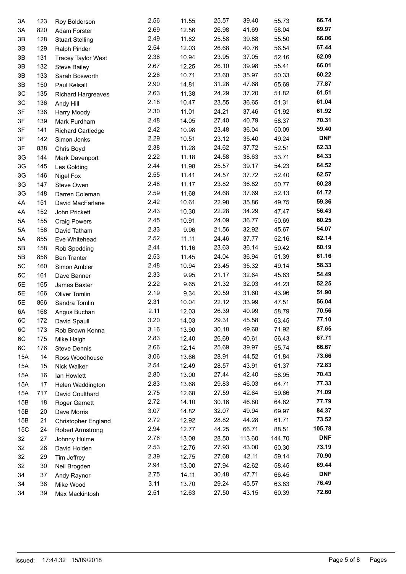| 3A  | 123 | Roy Bolderson             | 2.56 | 11.55 | 25.57 | 39.40  | 55.73  | 66.74      |
|-----|-----|---------------------------|------|-------|-------|--------|--------|------------|
| 3A  | 820 | Adam Forster              | 2.69 | 12.56 | 26.98 | 41.69  | 58.04  | 69.97      |
| 3B  | 128 | <b>Stuart Stelling</b>    | 2.49 | 11.82 | 25.58 | 39.88  | 55.50  | 66.06      |
| 3B  | 129 | Ralph Pinder              | 2.54 | 12.03 | 26.68 | 40.76  | 56.54  | 67.44      |
| 3B  | 131 | <b>Tracey Taylor West</b> | 2.36 | 10.94 | 23.95 | 37.05  | 52.16  | 62.09      |
| 3B  | 132 |                           | 2.67 | 12.25 | 26.10 | 39.98  | 55.41  | 66.01      |
| 3B  | 133 | <b>Steve Bailey</b>       | 2.26 | 10.71 | 23.60 | 35.97  | 50.33  | 60.22      |
|     |     | Sarah Bosworth            | 2.90 | 14.81 | 31.26 | 47.68  | 65.69  | 77.87      |
| 3B  | 150 | Paul Kelsall              |      |       |       |        |        | 61.51      |
| 3C  | 135 | Richard Hargreaves        | 2.63 | 11.38 | 24.29 | 37.20  | 51.82  | 61.04      |
| 3C  | 136 | Andy Hill                 | 2.18 | 10.47 | 23.55 | 36.65  | 51.31  |            |
| 3F  | 138 | <b>Harry Moody</b>        | 2.30 | 11.01 | 24.21 | 37.46  | 51.92  | 61.92      |
| 3F  | 139 | Mark Purdham              | 2.48 | 14.05 | 27.40 | 40.79  | 58.37  | 70.31      |
| 3F  | 141 | <b>Richard Cartledge</b>  | 2.42 | 10.98 | 23.48 | 36.04  | 50.09  | 59.40      |
| 3F  | 142 | Simon Jenks               | 2.29 | 10.51 | 23.12 | 35.40  | 49.24  | <b>DNF</b> |
| 3F  | 838 | Chris Boyd                | 2.38 | 11.28 | 24.62 | 37.72  | 52.51  | 62.33      |
| 3G  | 144 | Mark Davenport            | 2.22 | 11.18 | 24.58 | 38.63  | 53.71  | 64.33      |
| 3G  | 145 | Les Golding               | 2.44 | 11.98 | 25.57 | 39.17  | 54.23  | 64.52      |
| 3G  | 146 | <b>Nigel Fox</b>          | 2.55 | 11.41 | 24.57 | 37.72  | 52.40  | 62.57      |
| 3G  | 147 | Steve Owen                | 2.48 | 11.17 | 23.82 | 36.82  | 50.77  | 60.28      |
| 3G  | 148 | Darren Coleman            | 2.59 | 11.68 | 24.68 | 37.69  | 52.13  | 61.72      |
| 4A  | 151 | David MacFarlane          | 2.42 | 10.61 | 22.98 | 35.86  | 49.75  | 59.36      |
| 4A  | 152 | John Prickett             | 2.43 | 10.30 | 22.28 | 34.29  | 47.47  | 56.43      |
| 5A  | 155 | <b>Craig Powers</b>       | 2.45 | 10.91 | 24.09 | 36.77  | 50.69  | 60.25      |
| 5A  | 156 | David Tatham              | 2.33 | 9.96  | 21.56 | 32.92  | 45.67  | 54.07      |
| 5A  | 855 |                           | 2.52 | 11.11 | 24.46 | 37.77  | 52.16  | 62.14      |
|     |     | Eve Whitehead             | 2.44 | 11.16 | 23.63 | 36.14  | 50.42  | 60.19      |
| 5Β  | 158 | Rob Spedding              | 2.53 |       |       |        |        | 61.16      |
| 5Β  | 858 | <b>Ben Tranter</b>        |      | 11.45 | 24.04 | 36.94  | 51.39  | 58.33      |
| 5C  | 160 | Simon Ambler              | 2.48 | 10.94 | 23.45 | 35.32  | 49.14  | 54.49      |
| 5C  | 161 | Dave Banner               | 2.33 | 9.95  | 21.17 | 32.64  | 45.83  |            |
| 5E  | 165 | James Baxter              | 2.22 | 9.65  | 21.32 | 32.03  | 44.23  | 52.25      |
| 5E  | 166 | <b>Oliver Tomlin</b>      | 2.19 | 9.34  | 20.59 | 31.60  | 43.96  | 51.90      |
| 5E  | 866 | Sandra Tomlin             | 2.31 | 10.04 | 22.12 | 33.99  | 47.51  | 56.04      |
| 6A  | 168 | Angus Buchan              | 2.11 | 12.03 | 26.39 | 40.99  | 58.79  | 70.56      |
| 6C  | 172 | David Spaull              | 3.20 | 14.03 | 29.31 | 45.58  | 63.45  | 77.10      |
| 6C  | 173 | Rob Brown Kenna           | 3.16 | 13.90 | 30.18 | 49.68  | 71.92  | 87.65      |
| 6C  | 175 | Mike Haigh                | 2.83 | 12.40 | 26.69 | 40.61  | 56.43  | 67.71      |
| 6C  | 176 | <b>Steve Dennis</b>       | 2.66 | 12.14 | 25.69 | 39.97  | 55.74  | 66.67      |
| 15A | 14  | Ross Woodhouse            | 3.06 | 13.66 | 28.91 | 44.52  | 61.84  | 73.66      |
| 15A | 15  | Nick Walker               | 2.54 | 12.49 | 28.57 | 43.91  | 61.37  | 72.83      |
| 15A | 16  | lan Howlett               | 2.80 | 13.00 | 27.44 | 42.40  | 58.95  | 70.43      |
| 15A | 17  | Helen Waddington          | 2.83 | 13.68 | 29.83 | 46.03  | 64.71  | 77.33      |
| 15A | 717 | David Coulthard           | 2.75 | 12.68 | 27.59 | 42.64  | 59.66  | 71.09      |
| 15B | 18  | Roger Garnett             | 2.72 | 14.10 | 30.16 | 46.80  | 64.82  | 77.79      |
| 15B | 20  | Dave Morris               | 3.07 | 14.82 | 32.07 | 49.94  | 69.97  | 84.37      |
| 15B | 21  | Christopher England       | 2.72 | 12.92 | 28.82 | 44.28  | 61.71  | 73.52      |
| 15C |     |                           | 2.94 | 12.77 | 44.25 | 66.71  | 88.51  | 105.78     |
|     | 24  | <b>Robert Armstrong</b>   | 2.76 |       | 28.50 | 113.60 | 144.70 | <b>DNF</b> |
| 32  | 27  | Johnny Hulme              |      | 13.08 |       |        |        | 73.19      |
| 32  | 28  | David Holden              | 2.53 | 12.76 | 27.93 | 43.00  | 60.30  |            |
| 32  | 29  | Tim Jeffrey               | 2.39 | 12.75 | 27.68 | 42.11  | 59.14  | 70.90      |
| 32  | 30  | Neil Brogden              | 2.94 | 13.00 | 27.94 | 42.62  | 58.45  | 69.44      |
| 34  | 37  | Andy Raynor               | 2.75 | 14.11 | 30.48 | 47.71  | 66.45  | <b>DNF</b> |
| 34  | 38  | Mike Wood                 | 3.11 | 13.70 | 29.24 | 45.57  | 63.83  | 76.49      |
| 34  | 39  | Max Mackintosh            | 2.51 | 12.63 | 27.50 | 43.15  | 60.39  | 72.60      |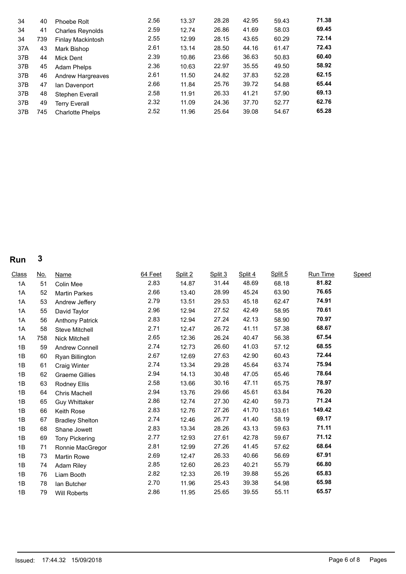| 34  | 40  | Phoebe Rolt              | 2.56 | 13.37 | 28.28 | 42.95 | 59.43 | 71.38 |
|-----|-----|--------------------------|------|-------|-------|-------|-------|-------|
| 34  | 41  | <b>Charles Reynolds</b>  | 2.59 | 12.74 | 26.86 | 41.69 | 58.03 | 69.45 |
| 34  | 739 | Finlay Mackintosh        | 2.55 | 12.99 | 28.15 | 43.65 | 60.29 | 72.14 |
| 37A | 43  | Mark Bishop              | 2.61 | 13.14 | 28.50 | 44.16 | 61.47 | 72.43 |
| 37B | 44  | Mick Dent                | 2.39 | 10.86 | 23.66 | 36.63 | 50.83 | 60.40 |
| 37B | 45  | Adam Phelps              | 2.36 | 10.63 | 22.97 | 35.55 | 49.50 | 58.92 |
| 37B | 46  | <b>Andrew Hargreaves</b> | 2.61 | 11.50 | 24.82 | 37.83 | 52.28 | 62.15 |
| 37B | 47  | Ian Davenport            | 2.66 | 11.84 | 25.76 | 39.72 | 54.88 | 65.44 |
| 37B | 48  | Stephen Everall          | 2.58 | 11.91 | 26.33 | 41.21 | 57.90 | 69.13 |
| 37B | 49  | <b>Terry Everall</b>     | 2.32 | 11.09 | 24.36 | 37.70 | 52.77 | 62.76 |
| 37B | 745 | <b>Charlotte Phelps</b>  | 2.52 | 11.96 | 25.64 | 39.08 | 54.67 | 65.28 |

**Run 3**

| <b>Class</b> | <u>No.</u> | Name                   | 64 Feet | Split 2 | Split 3 | Split 4 | Split 5 | <b>Run Time</b> | Speed |  |
|--------------|------------|------------------------|---------|---------|---------|---------|---------|-----------------|-------|--|
| 1A           | 51         | Colin Mee              | 2.83    | 14.87   | 31.44   | 48.69   | 68.18   | 81.82           |       |  |
| 1A           | 52         | <b>Martin Parkes</b>   | 2.66    | 13.40   | 28.99   | 45.24   | 63.90   | 76.65           |       |  |
| 1A           | 53         | Andrew Jeffery         | 2.79    | 13.51   | 29.53   | 45.18   | 62.47   | 74.91           |       |  |
| 1A           | 55         | David Taylor           | 2.96    | 12.94   | 27.52   | 42.49   | 58.95   | 70.61           |       |  |
| 1A           | 56         | <b>Anthony Patrick</b> | 2.83    | 12.94   | 27.24   | 42.13   | 58.90   | 70.97           |       |  |
| 1A           | 58         | Steve Mitchell         | 2.71    | 12.47   | 26.72   | 41.11   | 57.38   | 68.67           |       |  |
| 1A           | 758        | Nick Mitchell          | 2.65    | 12.36   | 26.24   | 40.47   | 56.38   | 67.54           |       |  |
| 1B           | 59         | Andrew Connell         | 2.74    | 12.73   | 26.60   | 41.03   | 57.12   | 68.55           |       |  |
| 1B           | 60         | Ryan Billington        | 2.67    | 12.69   | 27.63   | 42.90   | 60.43   | 72.44           |       |  |
| 1B           | 61         | Craig Winter           | 2.74    | 13.34   | 29.28   | 45.64   | 63.74   | 75.94           |       |  |
| 1B           | 62         | <b>Graeme Gillies</b>  | 2.94    | 14.13   | 30.48   | 47.05   | 65.46   | 78.64           |       |  |
| 1B           | 63         | Rodney Ellis           | 2.58    | 13.66   | 30.16   | 47.11   | 65.75   | 78.97           |       |  |
| 1B           | 64         | <b>Chris Machell</b>   | 2.94    | 13.76   | 29.66   | 45.61   | 63.84   | 76.20           |       |  |
| 1B           | 65         | <b>Guy Whittaker</b>   | 2.86    | 12.74   | 27.30   | 42.40   | 59.73   | 71.24           |       |  |
| 1B           | 66         | Keith Rose             | 2.83    | 12.76   | 27.26   | 41.70   | 133.61  | 149.42          |       |  |
| 1B           | 67         | <b>Bradley Shelton</b> | 2.74    | 12.46   | 26.77   | 41.40   | 58.19   | 69.17           |       |  |
| 1B           | 68         | Shane Jowett           | 2.83    | 13.34   | 28.26   | 43.13   | 59.63   | 71.11           |       |  |
| 1B           | 69         | <b>Tony Pickering</b>  | 2.77    | 12.93   | 27.61   | 42.78   | 59.67   | 71.12           |       |  |
| 1B           | 71         | Ronnie MacGregor       | 2.81    | 12.99   | 27.26   | 41.45   | 57.62   | 68.64           |       |  |
| 1B           | 73         | <b>Martin Rowe</b>     | 2.69    | 12.47   | 26.33   | 40.66   | 56.69   | 67.91           |       |  |
| 1B           | 74         | <b>Adam Riley</b>      | 2.85    | 12.60   | 26.23   | 40.21   | 55.79   | 66.80           |       |  |
| 1B           | 76         | Liam Booth             | 2.82    | 12.33   | 26.19   | 39.88   | 55.26   | 65.83           |       |  |
| 1B           | 78         | lan Butcher            | 2.70    | 11.96   | 25.43   | 39.38   | 54.98   | 65.98           |       |  |
| 1B           | 79         | <b>Will Roberts</b>    | 2.86    | 11.95   | 25.65   | 39.55   | 55.11   | 65.57           |       |  |
|              |            |                        |         |         |         |         |         |                 |       |  |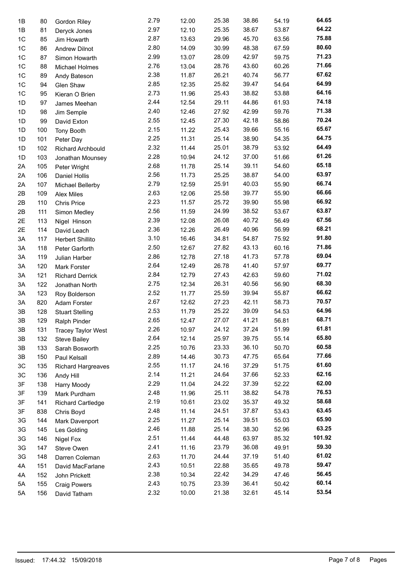| 1B             | 80  | Gordon Riley              | 2.79 | 12.00 | 25.38 | 38.86 | 54.19 | 64.65  |
|----------------|-----|---------------------------|------|-------|-------|-------|-------|--------|
| 1B             | 81  | Deryck Jones              | 2.97 | 12.10 | 25.35 | 38.67 | 53.87 | 64.22  |
| 1 <sup>C</sup> | 85  | Jim Howarth               | 2.87 | 13.63 | 29.96 | 45.70 | 63.56 | 75.88  |
| 1C             | 86  | <b>Andrew Dilnot</b>      | 2.80 | 14.09 | 30.99 | 48.38 | 67.59 | 80.60  |
| 1C             | 87  | Simon Howarth             | 2.99 | 13.07 | 28.09 | 42.97 | 59.75 | 71.23  |
| 1C             | 88  | Michael Holmes            | 2.76 | 13.04 | 28.76 | 43.60 | 60.26 | 71.66  |
| 1C             | 89  | Andy Bateson              | 2.38 | 11.87 | 26.21 | 40.74 | 56.77 | 67.62  |
| 1C             | 94  | Glen Shaw                 | 2.85 | 12.35 | 25.82 | 39.47 | 54.64 | 64.99  |
| 1C             | 95  | Kieran O Brien            | 2.73 | 11.96 | 25.43 | 38.82 | 53.88 | 64.16  |
| 1D             | 97  | James Meehan              | 2.44 | 12.54 | 29.11 | 44.86 | 61.93 | 74.18  |
| 1D             | 98  | Jim Semple                | 2.40 | 12.46 | 27.92 | 42.99 | 59.76 | 71.38  |
| 1D             | 99  | David Exton               | 2.55 | 12.45 | 27.30 | 42.18 | 58.86 | 70.24  |
| 1D             | 100 | <b>Tony Booth</b>         | 2.15 | 11.22 | 25.43 | 39.66 | 55.16 | 65.67  |
| 1D             | 101 | Peter Day                 | 2.25 | 11.31 | 25.14 | 38.90 | 54.35 | 64.75  |
| 1D             | 102 | Richard Archbould         | 2.32 | 11.44 | 25.01 | 38.79 | 53.92 | 64.49  |
| 1D             | 103 | Jonathan Mounsey          | 2.28 | 10.94 | 24.12 | 37.00 | 51.66 | 61.26  |
| 2A             | 105 | Peter Wright              | 2.68 | 11.78 | 25.14 | 39.11 | 54.60 | 65.18  |
| 2A             | 106 | Daniel Hollis             | 2.56 | 11.73 | 25.25 | 38.87 | 54.00 | 63.97  |
| 2A             | 107 | Michael Bellerby          | 2.79 | 12.59 | 25.91 | 40.03 | 55.90 | 66.74  |
| 2B             | 109 | <b>Alex Miles</b>         | 2.63 | 12.06 | 25.58 | 39.77 | 55.90 | 66.66  |
| 2B             | 110 | <b>Chris Price</b>        | 2.23 | 11.57 | 25.72 | 39.90 | 55.98 | 66.92  |
| 2B             | 111 | Simon Medley              | 2.56 | 11.59 | 24.99 | 38.52 | 53.67 | 63.87  |
| 2E             | 113 | Nigel Hinson              | 2.39 | 12.08 | 26.08 | 40.72 | 56.49 | 67.56  |
| 2E             | 114 | David Leach               | 2.36 | 12.26 | 26.49 | 40.96 | 56.99 | 68.21  |
| 3A             | 117 | Herbert Shillito          | 3.10 | 16.46 | 34.81 | 54.87 | 75.92 | 91.80  |
| 3A             | 118 | Peter Garforth            | 2.50 | 12.67 | 27.82 | 43.13 | 60.16 | 71.86  |
| ЗA             | 119 | Julian Harber             | 2.86 | 12.78 | 27.18 | 41.73 | 57.78 | 69.04  |
| 3A             | 120 | Mark Forster              | 2.64 | 12.49 | 26.78 | 41.40 | 57.97 | 69.77  |
| ЗA             | 121 | <b>Richard Derrick</b>    | 2.84 | 12.79 | 27.43 | 42.63 | 59.60 | 71.02  |
| 3A             | 122 | Jonathan North            | 2.75 | 12.34 | 26.31 | 40.56 | 56.90 | 68.30  |
| ЗA             | 123 | Roy Bolderson             | 2.52 | 11.77 | 25.59 | 39.94 | 55.87 | 66.62  |
| ЗA             | 820 | Adam Forster              | 2.67 | 12.62 | 27.23 | 42.11 | 58.73 | 70.57  |
| 3B             | 128 | <b>Stuart Stelling</b>    | 2.53 | 11.79 | 25.22 | 39.09 | 54.53 | 64.96  |
| 3B             | 129 | Ralph Pinder              | 2.65 | 12.47 | 27.07 | 41.21 | 56.81 | 68.71  |
| 3B             | 131 |                           | 2.26 | 10.97 | 24.12 | 37.24 | 51.99 | 61.81  |
| 3B             | 132 | <b>Tracey Taylor West</b> | 2.64 | 12.14 | 25.97 | 39.75 | 55.14 | 65.80  |
| 3B             | 133 | <b>Steve Bailey</b>       | 2.25 | 10.76 | 23.33 | 36.10 | 50.70 | 60.58  |
|                |     | Sarah Bosworth            | 2.89 | 14.46 | 30.73 | 47.75 | 65.64 | 77.66  |
| 3B<br>3C       | 150 | Paul Kelsall              | 2.55 | 11.17 | 24.16 | 37.29 | 51.75 | 61.60  |
|                | 135 | Richard Hargreaves        | 2.14 | 11.21 | 24.64 | 37.66 | 52.33 | 62.16  |
| 3C             | 136 | Andy Hill                 | 2.29 | 11.04 | 24.22 | 37.39 |       | 62.00  |
| 3F             | 138 | Harry Moody               | 2.48 |       |       |       | 52.22 | 76.53  |
| 3F             | 139 | Mark Purdham              |      | 11.96 | 25.11 | 38.82 | 54.78 | 58.68  |
| 3F             | 141 | <b>Richard Cartledge</b>  | 2.19 | 10.61 | 23.02 | 35.37 | 49.32 | 63.45  |
| 3F             | 838 | Chris Boyd                | 2.48 | 11.14 | 24.51 | 37.87 | 53.43 |        |
| 3G             | 144 | Mark Davenport            | 2.25 | 11.27 | 25.14 | 39.51 | 55.03 | 65.90  |
| 3G             | 145 | Les Golding               | 2.46 | 11.88 | 25.14 | 38.30 | 52.96 | 63.25  |
| 3G             | 146 | Nigel Fox                 | 2.51 | 11.44 | 44.48 | 63.97 | 85.32 | 101.92 |
| 3G             | 147 | Steve Owen                | 2.41 | 11.16 | 23.79 | 36.08 | 49.91 | 59.30  |
| 3G             | 148 | Darren Coleman            | 2.63 | 11.70 | 24.44 | 37.19 | 51.40 | 61.02  |
| 4A             | 151 | David MacFarlane          | 2.43 | 10.51 | 22.88 | 35.65 | 49.78 | 59.47  |
| 4A             | 152 | John Prickett             | 2.38 | 10.34 | 22.42 | 34.29 | 47.46 | 56.45  |
| 5A             | 155 | <b>Craig Powers</b>       | 2.43 | 10.75 | 23.39 | 36.41 | 50.42 | 60.14  |
| 5A             | 156 | David Tatham              | 2.32 | 10.00 | 21.38 | 32.61 | 45.14 | 53.54  |